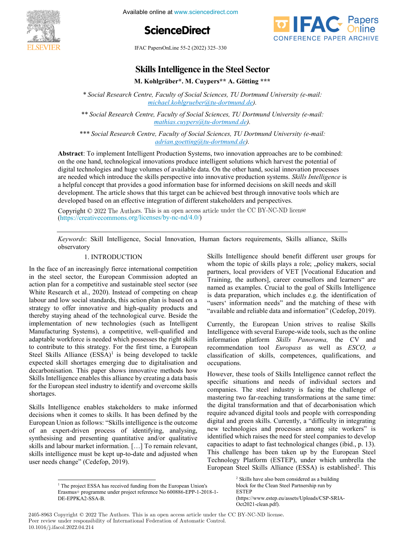

Available online at www.sciencedirect.com





IFAC PapersOnLine 55-2 (2022) 325–330

## **Skills Intelligence in the Steel Sector Skills Intelligence in the Steel Sector Skills Intelligence in the Steel Sector Skills Intelligence in the Steel Sector Skills Intelligence in the Steel Sector Skills Intelligence in the Steel Sector**

**M. Kohlgrüber\*. M. Cuypers\*\* A. Götting \*\*\* M. Kohlgrüber\*. M. Cuypers\*\* A. Götting \*\*\* M. Kohlgrüber\*. M. Cuypers\*\* A. Götting \*\*\* M. Kohlgrüber\*. M. Cuypers\*\* A. Götting \*\*\* M. Kohlgrüber\*. M. Cuypers\*\* A. Götting \*\*\***

*\* Social Research Centre, Faculty of Social Sciences, TU Dortmund University (e-mail: michael.kohlgrueber@tu-dortmund.de). michael.kohlgrueber@tu-dortmund.de). \* Social Research Centre, Faculty of Social Sciences, TU Dortmund University (e-mail:*  \* Social Research Centre, Faculty of Social Sciences, TU Dortmund University (e-mail:<br>mishaal kohkamahar@tu dortmund do) michael.kohlgrueber@tu-dortmund.de). *michael.kohlgrueber@tu-dortmund.de).*

*\*\* Social Research Centre, Faculty of Social Sciences, TU Dortmund University (e-mail: mathias.cuypers@tu-dortmund.de). mathias.cuypers@tu-dortmund.de). \*\* Social Research Centre, Faculty of Social Sciences, TU Dortmund University (e-mail:*  "Social Research Centre, Faculty of Social Sciences, TU Dortmuna University (e-mail:<br>mathias enyone@ty dortmund do mathias.cuypers@tu-dortmund.de) *mathias.cuypers@tu-dortmund.de). \* Social Research Centre, Faculty of Social Sciences, TU Dortmund University (e-mail: \*\* Social Research Centre, Faculty of Social Sciences, TU Dortmund University (e-mail:* 

*\*\*\* Social Research Centre, Faculty of Social Sciences, TU Dortmund University (e-mail: adrian.goetting@tu-dortmund.de). adrian.goetting@tu-dortmund.de). \*\*\* Social Research Centre, Faculty of Social Sciences, TU Dortmund University (e-mail:*  "Social Research Centre, Faculty of Social Sciences, TU Dortmund University (e-mail:<br>advise a assign operation of the dortmend dolor  $adrian.goetting@tu-dortmund.de.$ </u> *\*\* Social Research Centre, Faculty of Social Sciences, TU Dortmund University (e-mail: \*\*\* Social Research Centre, Faculty of Social Sciences, TU Dortmund University (e-mail:* 

**Abstract**: To implement Intelligent Production Systems, two innovation approaches are to be combined: on the one hand, technological innovations produce intelligent solutions which harvest the potential of digital technologies and huge volumes of available data. On the other hand, social innovation processes are needed which introduce the skills perspective into innovative production systems. *Skills Intelligence* is and skill on that provides a good information base for information base for informations on the skill of the sk a helpful concept that provides a good information base for informed decisions on skill needs and skill development. The article shows that this target can be achieved best through innovative tools which are developed based on an effective integration of different stakeholders and perspectives. **Abstract**: To implement Intelligent Production Systems, two innovation approaches are to be combined: Abstract: 10 implement intelligent Production Systems, two innovation approaches are to be combine on the one hand, technological innovations produce intelligent solutions which harvest the potential of<br>digital technologies and huge volumes of available data. On the other hand, social innovation processes on the one hand, technological innovations produce interligent solutions which have the potential of<br>digital technologies and huge volumes of available data. On the other hand, social innovation processes are needed which introduce the skills perspective into innovative production systems. *Skills Intelligence* is<br>are needed which introduce the skills perspective into innovative production systems. *Skills Intelligence* is<br> a helpful concept that provides a good information base for informed decisions on skill needs and skill a helpful concept that provides a good information base for informed decisions on skin fields and skin<br>development. The article shows that this target can be achieved best through innovative tools which are<br>developed based developed based on an effective integration of different stakeholders and perspectives. *adrian.goetting@tu-dortmund.de).* development. The article shows that this target can be achieved best through innovative tools which are<br>developed based on an effective integration of different stakeholders and perspectives. Starting Controllary **A. Cuypers**<sup>\*\*</sup> **A. Götting** \*\*\*<br>
Centre, Faculty of Social Sciences, TU Dortmund University (e-mail:<br>
michael.kohlgrueber@nt-dortmund.de).<br>
Centre, Faculty of Social Sciences, TU Dortmund diviversity Abstract: To implement Intelligent Production Systems, two innovation approaches are to be combined: developed based on an effective integration of different stakeholders and perspectives.

Copyright © 2022 The Authors. This is an open access article under the CC BY-NC-ND license  $(\text{https://creativecommons.org/licenses/by-nc-nd/4.0/">\text{/})$ Copyright © 2022 The Authors. This is an open access article under the CC BY-NC-ND license<br>(https://creativecommons.org/licenses/by-nc-nd/4.0/)<br>Keywords: Skill Intelligence. Social Innovation. Human factors requirements. S Copyright  $\odot$  2022 The Authors. This is an open access article under the CC BY-NC-ND incense developed based on an effective integration of different stakeholders and perspectives.

*Keywords*: Skill Intelligence, Social Innovation, Human factors requirements, Skills alliance, Skills Reyworus. Keywords: Skill Intelligence, Social Innovation, Human factors requirements, Skills alliance, Skills ry van die 19de eeu n.C. In 19de eeu n.C. In 19de eeu n.C. In 19de eeu n.C. In 19de eeu n.C. In 19de eeu n.C. In 19de eeu n.C. In 19de eeu n.C. In 19de eeu n.C. In 19de eeu n.C. In 19de eeu n.C. In 19de eeu n.C. In 19de ee  $\mathbf{S}$  intelligence should be nefit different user groups for groups for  $\mathbf{S}$ observatory *Keywords*: Skill Intelligence, Social Innovation, Human factors requirements, Skills alliance, Skills Keywords: Skill Intelligence, Social Innovation, Human factors requirements, Skills alliance, Skills 1. INTRODUCTION observatory 1. INTRODUCTION

#### 1. INTRODUCTION observatory

In the face of an increasingly fierce international competition in the steel sector, the European Commission adopted an action plan for a competitive and sustainable steel sector (see White Research et al., 2020). Instead of competing on cheap labour and low social standards, this action plan is based on a strategy to offer innovative and high-quality products and thereby staying ahead of the technological curve. Beside the implementation of new technologies (such as Intelligent Manufacturing Systems), a competitive, well-qualified and adaptable workforce is needed which possesses the right skills to contribute to this strategy. For the first time, a European Steel Skills Alliance (ESSA)<sup>1</sup> is being developed to tackle expected skill shortages emerging due to digitalisation and decarbonisation. This paper shows innovative methods how Skills Intelligence enables this alliance by creating a data basis for the European steel industry to identify and overcome skills shortages.  $S<sub>1</sub>$ silo Italijas stakeholders stakeholders stakeholders to make informed informed informed informed informed informed informed informed informed informed informed informed informed informed informed informed inform In the face of an increasingly fierce international competition<br>in the steel sector, the European Commission adopted an action plan for a competitive and sustainable steel sector (see<br>White Research et al., 2020). Instead of competing on cheap<br>labour and low social standards, this action plan is based on a<br>strategy to offer innovative and h In the face of an increasingly fierce international competition action plan for a competitive and sustainable steel sector (see action plan for a competitive and sustainable steel sector (see White Research et al., 2020). Instead of competing on cheap while research et al., 2020). Histoire of competing on energy labour and low social standards, this action plan is based on a<br>strategy to offer innovative and high-quality products and thereby staying ahead of the technological curve. Beside the thereby staying ahead of the technological curve. Beside the implementation of new technologies (such as Intelligent miplementation of new teenhologies (such as microgent adaptable workforce is needed which possesses the right skills Manufacturing Systems), a competitive, well-qualifiedand adaptable workforce is needed which possesses the right skills to contribute to this strategy. For the first time, a European to contribute to this strategy. For the first time, a European Steel Skills Alliance (ESSA)<sup>1</sup> is being developed to tackle expected skill shortages emerging due to digitalisation and decarbonisation. This paper shows innovative methods how expected skill shortages emerging due to digitalisation and decarbonisation. This paper shows innovative methods how Skills Intelligence enables this alliance by creating a data basis for the European steel industry to identify and overcome skills Skills Intelligence enables this alliance by creating a data basis for the European steel industry to identify and overcome skills shortages.

Skills Intelligence enables stakeholders to make informed decisions when it comes to skills. It has been defined by the European Union as follows: "Skills intelligence is the outcome of an expert-driven process of identifying, analysing, synthesising and presenting quantitative and/or qualitative skills and labour market information. [...] To remain relevant, skills intelligence must be kept up-to-date and adjusted when user needs change" (Cedefop, 2019). user needs change" (Cedefop, 2019). user needs change" (Cedefop, 2019). for the European steel industry to identify and overcome skills Skills Int European Union as follows: "Skills intelligence is the outcome<br>of an expert-driven process of identifying, analysing,<br>synthesising and presenting quantitative and/or qualitative<br>skills and labour market information. [...] Skills Intelligence enables stakeholders to make informed Skills Intelligence enables stakeholders to make informed decisions when it comes to skills. It has been defined by the European Union as follows: "Skills intelligence is the outcome decisions when it comes to skills. It has been defined by the European Union as follows: "Skills intelligence is the outcome of an expert-driven process of identifying, analysing, of an expert-driven process of identifying, analysing, synthesising and presenting quantitative and/or qualitative synmesising and presenting quantum or and/or quantum or skills and labour market information. [...] To remain relevant,<br>skills intelligence must be kept up-to-date and adjusted when skins intengence must be kept up-te

user needs change" (Cedefop, 2019).

 $\mathcal{S}$  intelligence should be neglected benefit different user groups for  $\mathcal{S}$  $\frac{1}{2}$  and the topical of should believe the topic material user groups for whom the topic of skins plays a fole,  $\frac{1}{2}$ , policy makers, social  $T_{\rm max}$ , the authorisal counsellors and learners are  $T_{\rm max}$  and learners are  $\alpha$ Training, the authors], career counsellors and learners" are<br>named as examples. Crucial to the goal of Skills Intelligence inamed as examples. Crucial to the goal of Skins intemgence<br>is data preparation, which includes e.g. the identification of is data preparation, which includes e.g. the identification of "users' information needs" and the matching of these with  $\frac{1}{2}$  avers information needs and the material of these with observatory<br>1. INTRODUCTION Skills Intelligence should benefit different user groups for whom the topic of skills plays a role; "policy makers, social whom the topic of skills plays a role; "policy makers, social<br>partners, local providers of VET [Vocational Education and<br>Training, the authors], career counsellors and learners" are<br>named as examples. Crucial to the goal o Training, the authors], career counsellors and learners" are "available and reliable data and information" (Cedefop, 2019).  $\frac{1}{\sqrt{2}}$  information needs with  $\frac{1}{\sqrt{2}}$  and the matching of the matching of the matching of the matching of the matching of the matching of the matching of the matching of the matching of the matching of the matc Skills Intelligence should benefit different user groups for

Currently, the European Union strives to realise Skills Currently, the European Union strives to realise Skins interrigence with several Europe-wide tools, such as the online<br>C<sub>2</sub> and <sup>C</sup><sub>2</sub> and <sup>C</sup><sub>2</sub> and <sup>C</sup><sub>2</sub><sup>a</sup> and <sup>C</sup><sub>2</sub><sup>a</sup> and <sup>C</sup><sub>2</sub><sup>a</sup> and <sup>C</sup><sub>2</sub><sup>a</sup> mormation platform *Skits Fanorama*, the CV and recommendation tool *europuss* as well as *esco*,  $\ddot{a}$ ciassification Currently, the European Union strives to realise Skills Intelligence with several Europe-wide tools, such as the online Intelligence with several Europe-wide tools, such as the online<br>information platform Skills Panorama, the CV and occupations. classification of skills, competences, qualifications, and classification of skills, competences, qualifications, and classification of skills, competences, qualifications, and occupations. information platform *Skills Panorama*, the CV and<br>recommendation tool *Europass* as well as *ESCO*, *a*<br>classification of skills, competences, qualifications, and<br>occunations. Currently, the European Union strives to realise Skills "available and reliable data and information" (Cedefop, 2019).<br>Currently, the European Union strives to realise Skills

However, these tools of Skills Intelligence cannot reflect the specific situations and needs of individual sectors and companies. The steel industry is facing the challenge of mastering two far-reaching transformations at the same time: the digital transformation and that of decarbonisation which require advanced digital tools and people with corresponding digital and green skills. Currently, a "difficulty in integrating new technologies and processes among site workers" is identified which raises the need for steel companies to develop capacities to adapt to fast technological changes (ibid., p. 13). This challenge has been taken up by the European Steel Technology Platform (ESTEP), under which unbrella the European Steel Skills Alliance (ESSA) is established<sup>2</sup>. This 1 The project ESSA has received funding from the European Union's classification of skills, competences, qualifications,  $\alpha$ However, in companies. The steel industry is facing the challenge of mastering two far-reaching transformations at the same time:<br>the digital transformation and that of decarbonisation which<br>require advanced digital tools and people w However, these tools of Skills Intelligence cannot reflect the However, these tools of Skills Intelligence cannot reflect the specific situations and needs of individual sectors and specific situations and needs of individual sectors and companies. The steel industry is facing the challenge of companies. The steer massing is facing the enancing of mastering two far-reaching transformations at the same time:<br>the digital transformation and that of decarbonisation which require advanced digital tools and people with corresponding require advanced digital tools and people with corresponding digital and green skills. Currently, a "difficulty in integrating new technologies and processes among site workers" is new technologies and processes among site workers" is identified which raises the need for steel companies to develop capacities to adapt to fast technological changes (ibid., p. 13). capacities to adapt to fast technological changes (ibid., p. 13).<br>This challenge has been taken up by the European Steel Technology Platform (ESTEP), under which umbrella the Technology Platform (ESTEP), under which umbrella the European Steel Skills Alliance (ESSA) is established<sup>2</sup>. This

book for the Clean Steel Partnership run by<br>block for the Clean Steel Partnership run by ESTEP ESTEI<br>(https://www.estep.eu/assets/Uploads/CSP-SRIA-(https://www.estep.eu/assets/epiodas/corporation-<br>Oct2021-clean.pdf). <sup>2</sup> Skills have also been considered as a building  $\text{Oct2021}$  cream.part. (mtps://www.estep.eu/assets/Uploads/CSP-SRIA-<br>Oct2021-clean.pdf).

2405-8963 Copyright © 2022 The Authors. This is an open access article under the CC BY-NC-ND license. Peer review under responsibility of International Federation of Automatic Control. 10.1016/j.ifacol.2022.04.214 opyright  $©$  2022 The Authors. This is an open access article under the CC BY-NC-ND licens  $\mathop{\rm oppright}_{\text{long}} \otimes 2022$  in block for the Clean Steel Partnership run by  $\mathbf{B}$  I -  $\mathbf{N}$ Oct2021-clean.pdf).  $\left| \frac{1}{\sqrt{2}} \right|$ 

user needs change" (Cedefop, 2019). Tec.<br>European Union's<br>The project ESSA has received funding from the European Union's<br>Frasmus+ programme under project reference No 600886-EPP-1-2018-1-Erasmus+ programme under project reference No 600886-EPP-1-2018-1-<br>DE EPPK 42.SSA P DE-EPPKA2-SSA-B. user needs change" (Cedefop, 2019).<br>
The project ESSA has received funding from the European Union's<br>
Erasmus+ programme under project reference No 600886-EPP-1-201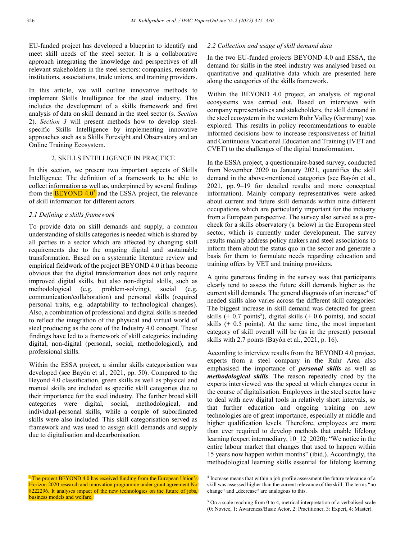EU-funded project has developed a blueprint to identify and meet skill needs of the steel sector. It is a collaborative approach integrating the knowledge and perspectives of all relevant stakeholders in the steel sectors: companies, research institutions, associations, trade unions, and training providers.

In this article, we will outline innovative methods to implement Skills Intelligence for the steel industry. This includes the development of a skills framework and first analysis of data on skill demand in the steel sector (s. *Section*  2). *Section 3* will present methods how to develop steelspecific Skills Intelligence by implementing innovative approaches such as a Skills Foresight and Observatory and an Online Training Ecosystem.

#### 2. SKILLS INTELLIGENCE IN PRACTICE

In this section, we present two important aspects of Skills Intelligence: The definition of a framework to be able to collect information as well as, underpinned by several findings from the  $BEYOND$  4.0<sup>3</sup> and the ESSA project, the relevance of skill information for different actors.

### *2.1 Defining a skills framework*

To provide data on skill demands and supply, a common understanding of skills categories is needed which is shared by all parties in a sector which are affected by changing skill requirements due to the ongoing digital and sustainable transformation. Based on a systematic literature review and empirical fieldwork of the project BEYOND 4.0 it has become obvious that the digital transformation does not only require improved digital skills, but also non-digital skills, such as methodological (e.g. problem-solving), social (e.g. communication/collaboration) and personal skills (required personal traits, e.g. adaptability to technological changes). Also, a combination of professional and digital skills is needed to reflect the integration of the physical and virtual world of steel producing as the core of the Industry 4.0 concept. These findings have led to a framework of skill categories including digital, non-digital (personal, social, methodological), and professional skills.

Within the ESSA project, a similar skills categorisation was developed (see Bayón et al., 2021, pp. 50). Compared to the Beyond 4.0 classification, green skills as well as physical and manual skills are included as specific skill categories due to their importance for the steel industry. The further broad skill categories were digital, social, methodological, and individual-personal skills, while a couple of subordinated skills were also included. This skill categorisation served as framework and was used to assign skill demands and supply due to digitalisation and decarbonisation.

### *2.2 Collection and usage of skill demand data*

In the two EU-funded projects BEYOND 4.0 and ESSA, the demand for skills in the steel industry was analysed based on quantitative and qualitative data which are presented here along the categories of the skills framework.

Within the BEYOND 4.0 project, an analysis of regional ecosystems was carried out. Based on interviews with company representatives and stakeholders, the skill demand in the steel ecosystem in the western Ruhr Valley (Germany) was explored. This results in policy recommendations to enable informed decisions how to increase responsiveness of Initial and Continuous Vocational Education and Training (IVET and CVET) to the challenges of the digital transformation.

In the ESSA project, a questionnaire-based survey, conducted from November 2020 to January 2021, quantifies the skill demand in the above-mentioned categories (see Bayón et al., 2021, pp. 9–19 for detailed results and more conceptual information). Mainly company representatives were asked about current and future skill demands within nine different occupations which are particularly important for the industry from a European perspective. The survey also served as a precheck for a skills observatory (s. below) in the European steel sector, which is currently under development. The survey results mainly address policy makers and steel associations to inform them about the status quo in the sector and generate a basis for them to formulate needs regarding education and training offers by VET and training providers.

A quite generous finding in the survey was that participants clearly tend to assess the future skill demands higher as the current skill demands. The general diagnosis of an increase<sup>4</sup> of needed skills also varies across the different skill categories: The biggest increase in skill demand was detected for green skills  $(+ 0.7 \text{ points}^5)$ , digital skills  $(+ 0.6 \text{ points})$ , and social skills (+ 0.5 points). At the same time, the most important category of skill overall will be (as in the present) personal skills with 2.7 points (Bayón et al., 2021, p. 16).

According to interview results from the BEYOND 4.0 project, experts from a steel company in the Ruhr Area also emphasised the importance of *personal skills* as well as *methodological skills*. The reason repeatedly cited by the experts interviewed was the speed at which changes occur in the course of digitalisation. Employees in the steel sector have to deal with new digital tools in relatively short intervals, so that further education and ongoing training on new technologies are of great importance, especially at middle and higher qualification levels. Therefore, employees are more than ever required to develop methods that enable lifelong learning (expert intermediary, 10\_12\_2020): "We notice in the entire labour market that changes that used to happen within 15 years now happen within months" (ibid.). Accordingly, the methodological learning skills essential for lifelong learning

l

<sup>&</sup>lt;sup>3</sup> The project BEYOND 4.0 has received funding from the European Union's Horizon 2020 research and innovation programme under grant agreement No 8222296. It analyses impact of the new technologies on the future of jobs, business models and welfare.

<sup>4</sup> Increase means that within a job profile assessment the future relevance of a skill was assessed higher than the current relevance of the skill. The terms "no change" and "decrease" are analogous to this.

<sup>&</sup>lt;sup>5</sup> On a scale reaching from 0 to 4, metrical interpretation of a verbalised scale (0: Novice, 1: Awareness/Basic Actor, 2: Practitioner, 3: Expert, 4: Master).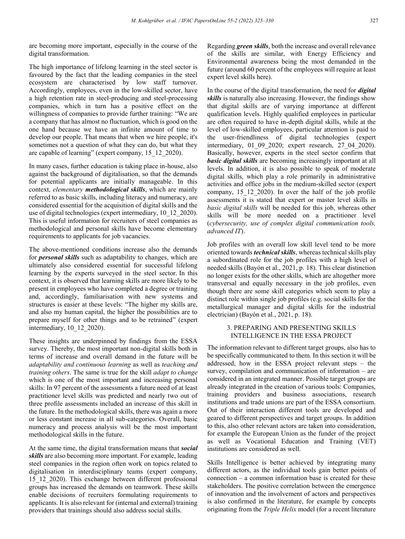are becoming more important, especially in the course of the digital transformation.

The high importance of lifelong learning in the steel sector is favoured by the fact that the leading companies in the steel ecosystem are characterised by low staff turnover. Accordingly, employees, even in the low-skilled sector, have a high retention rate in steel-producing and steel-processing companies, which in turn has a positive effect on the willingness of companies to provide further training: "We are a company that has almost no fluctuation, which is good on the one hand because we have an infinite amount of time to develop our people. That means that when we hire people, it's sometimes not a question of what they can do, but what they are capable of learning" (expert company, 15\_12\_2020).

In many cases, further education is taking place in-house, also against the background of digitalisation, so that the demands for potential applicants are initially manageable. In this context, *elementary methodological skills*, which are mainly referred to as basic skills, including literacy and numeracy, are considered essential for the acquisition of digital skills and the use of digital technologies (expert intermediary, 10\_12\_2020). This is useful information for recruiters of steel companies as methodological and personal skills have become elementary requirements to applicants for job vacancies.

The above-mentioned conditions increase also the demands for *personal skills* such as adaptability to changes, which are ultimately also considered essential for successful lifelong learning by the experts surveyed in the steel sector. In this context, it is observed that learning skills are more likely to be present in employees who have completed a degree or training and, accordingly, familiarisation with new systems and structures is easier at these levels: "The higher my skills are, and also my human capital, the higher the possibilities are to prepare myself for other things and to be retrained" (expert intermediary, 10\_12\_2020).

These insights are underpinned by findings from the ESSA survey. Thereby, the most important non-digital skills both in terms of increase and overall demand in the future will be *adaptability and continuous learning* as well as *teaching and training others*. The same is true for the skill *adapt to change* which is one of the most important and increasing personal skills: In 97 percent of the assessments a future need of at least practitioner level skills was predicted and nearly two out of three profile assessments included an increase of this skill in the future. In the methodological skills, there was again a more or less constant increase in all sub-categories. Overall, basic numeracy and process analysis will be the most important methodological skills in the future.

At the same time, the digital transformation means that *social skills* are also becoming more important. For example, leading steel companies in the region often work on topics related to digitalisation in interdisciplinary teams (expert company, 15\_12\_2020). This exchange between different professional groups has increased the demands on teamwork. These skills enable decisions of recruiters formulating requirements to applicants. It is also relevant for (internal and external) training providers that trainings should also address social skills.

Regarding *green skills*, both the increase and overall relevance of the skills are similar, with Energy Efficiency and Environmental awareness being the most demanded in the future (around 60 percent of the employees will require at least expert level skills here).

In the course of the digital transformation, the need for *digital skills* is naturally also increasing. However, the findings show that digital skills are of varying importance at different qualification levels. Highly qualified employees in particular are often required to have in-depth digital skills, while at the level of low-skilled employees, particular attention is paid to the user-friendliness of digital technologies (expert intermediary, 01\_09\_2020; expert research, 27\_04\_2020). Basically, however, experts in the steel sector confirm that *basic digital skills* are becoming increasingly important at all levels. In addition, it is also possible to speak of moderate digital skills, which play a role primarily in administrative activities and office jobs in the medium-skilled sector (expert company, 15\_12\_2020). In over the half of the job profile assessments it is stated that expert or master level skills in *basic digital skills* will be needed for this job, whereas other skills will be more needed on a practitioner level (*cybersecurity, use of complex digital communication tools, advanced IT*).

Job profiles with an overall low skill level tend to be more oriented towards *technical skills*, whereas technical skills play a subordinated role for the job profiles with a high level of needed skills (Bayón et al., 2021, p. 18). This clear distinction no longer exists for the other skills, which are altogether more transversal and equally necessary in the job profiles, even though there are some skill categories which seem to play a distinct role within single job profiles (e.g. social skills for the metallurgical manager and digital skills for the industrial electrician) (Bayón et al., 2021, p. 18).

## 3. PREPARING AND PRESENTING SKILLS INTELLIGENCE IN THE ESSA PROJECT

The information relevant to different target groups, also has to be specifically communicated to them. In this section it will be addressed, how in the ESSA project relevant steps – the survey, compilation and communication of information – are considered in an integrated manner. Possible target groups are already integrated in the creation of various tools: Companies, training providers and business associations, research institutions and trade unions are part of the ESSA consortium. Out of their interaction different tools are developed and geared to different perspectives and target groups. In addition to this, also other relevant actors are taken into consideration, for example the European Union as the funder of the project as well as Vocational Education and Training (VET) institutions are considered as well.

Skills Intelligence is better achieved by integrating many different actors, as the individual tools gain better points of connection – a common information base is created for these stakeholders. The positive correlation between the emergence of innovation and the involvement of actors and perspectives is also confirmed in the literature, for example by concepts originating from the *Triple Helix* model (for a recent literature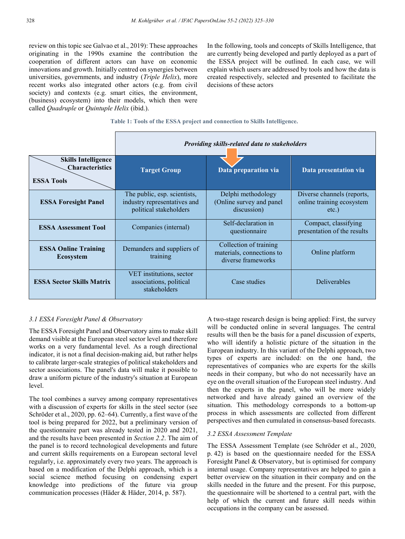review on this topic see Galvao et al., 2019): These approaches originating in the 1990s examine the contribution the cooperation of different actors can have on economic innovations and growth. Initially centred on synergies between universities, governments, and industry (*Triple Helix*), more recent works also integrated other actors (e.g. from civil society) and contexts (e.g. smart cities, the environment, (business) ecosystem) into their models, which then were called *Quadruple* or *Quintuple Helix* (ibid.).

In the following, tools and concepts of Skills Intelligence, that are currently being developed and partly deployed as a part of the ESSA project will be outlined. In each case, we will explain which users are addressed by tools and how the data is created respectively, selected and presented to facilitate the decisions of these actors

# **Table 1: Tools of the ESSA project and connection to Skills Intelligence.**

|                                                                           | Providing skills-related data to stakeholders                                          |                                                                           |                                                                     |
|---------------------------------------------------------------------------|----------------------------------------------------------------------------------------|---------------------------------------------------------------------------|---------------------------------------------------------------------|
| <b>Skills Intelligence</b><br><b>Characteristics</b><br><b>ESSA Tools</b> | <b>Target Group</b>                                                                    | Data preparation via                                                      | Data presentation via                                               |
| <b>ESSA Foresight Panel</b>                                               | The public, esp. scientists,<br>industry representatives and<br>political stakeholders | Delphi methodology<br>(Online survey and panel)<br>discussion)            | Diverse channels (reports,<br>online training ecosystem<br>$etc.$ ) |
| <b>ESSA Assessment Tool</b>                                               | Companies (internal)                                                                   | Self-declaration in<br>questionnaire                                      | Compact, classifying<br>presentation of the results                 |
| <b>ESSA Online Training</b><br><b>Ecosystem</b>                           | Demanders and suppliers of<br>training                                                 | Collection of training<br>materials, connections to<br>diverse frameworks | Online platform                                                     |
| <b>ESSA Sector Skills Matrix</b>                                          | VET institutions, sector<br>associations, political<br>stakeholders                    | Case studies                                                              | <b>Deliverables</b>                                                 |

### *3.1 ESSA Foresight Panel & Observatory*

The ESSA Foresight Panel and Observatory aims to make skill demand visible at the European steel sector level and therefore works on a very fundamental level. As a rough directional indicator, it is not a final decision-making aid, but rather helps to calibrate larger-scale strategies of political stakeholders and sector associations. The panel's data will make it possible to draw a uniform picture of the industry's situation at European level.

The tool combines a survey among company representatives with a discussion of experts for skills in the steel sector (see Schröder et al., 2020, pp. 62–64). Currently, a first wave of the tool is being prepared for 2022, but a preliminary version of the questionnaire part was already tested in 2020 and 2021, and the results have been presented in *Section 2.2*. The aim of the panel is to record technological developments and future and current skills requirements on a European sectoral level regularly, i.e. approximately every two years. The approach is based on a modification of the Delphi approach, which is a social science method focusing on condensing expert knowledge into predictions of the future via group communication processes (Häder & Häder, 2014, p. 587).

A two-stage research design is being applied: First, the survey will be conducted online in several languages. The central results will then be the basis for a panel discussion of experts, who will identify a holistic picture of the situation in the European industry. In this variant of the Delphi approach, two types of experts are included: on the one hand, the representatives of companies who are experts for the skills needs in their company, but who do not necessarily have an eye on the overall situation of the European steel industry. And then the experts in the panel, who will be more widely networked and have already gained an overview of the situation. This methodology corresponds to a bottom-up process in which assessments are collected from different perspectives and then cumulated in consensus-based forecasts.

#### *3.2 ESSA Assessment Template*

The ESSA Assessment Template (see Schröder et al., 2020, p. 42) is based on the questionnaire needed for the ESSA Foresight Panel & Observatory, but is optimised for company internal usage. Company representatives are helped to gain a better overview on the situation in their company and on the skills needed in the future and the present. For this purpose, the questionnaire will be shortened to a central part, with the help of which the current and future skill needs within occupations in the company can be assessed.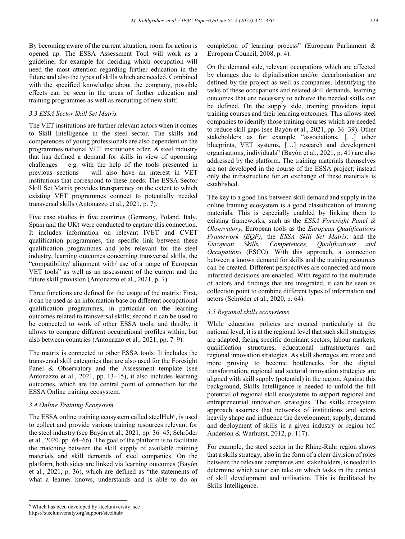By becoming aware of the current situation, room for action is opened up. The ESSA Assessment Tool will work as a guideline, for example for deciding which occupation will need the most attention regarding further education in the future and also the types of skills which are needed. Combined with the specified knowledge about the company, possible effects can be seen in the areas of further education and training programmes as well as recruiting of new staff.

## *3.3 ESSA Sector Skill Set Matrix*

The VET institutions are further relevant actors when it comes to Skill Intelligence in the steel sector. The skills and competences of young professionals are also dependent on the programmes national VET institutions offer. A steel industry that has defined a demand for skills in view of upcoming challenges – e.g. with the help of the tools presented in previous sections – will also have an interest in VET institutions that correspond to these needs. The ESSA Sector Skill Set Matrix provides transparency on the extent to which existing VET programmes connect to potentially needed transversal skills (Antonazzo et al., 2021, p. 7).

Five case studies in five countries (Germany, Poland, Italy, Spain and the UK) were conducted to capture this connection. It includes information on relevant IVET and CVET qualification programmes, the specific link between these qualification programmes and jobs relevant for the steel industry, learning outcomes concerning transversal skills, the "compatibility/ alignment with/ use of a range of European VET tools" as well as an assessment of the current and the future skill provision (Antonazzo et al., 2021, p. 7).

Three functions are defined for the usage of the matrix: First, it can be used as an information base on different occupational qualification programmes, in particular on the learning outcomes related to transversal skills; second it can be used to be connected to work of other ESSA tools; and thirdly, it allows to compare different occupational profiles within, but also between countries (Antonazzo et al., 2021, pp. 7–9).

The matrix is connected to other ESSA tools: It includes the transversal skill categories that are also used for the Foresight Panel & Observatory and the Assessment template (see Antonazzo et al., 2021, pp. 13–15), it also includes learning outcomes, which are the central point of connection for the ESSA Online training ecosystem.

#### *3.4 Online Training Ecosystem*

The ESSA online training ecosystem called steelHub<sup>6</sup>, is used to collect and provide various training resources relevant for the steel industry (see Bayón et al., 2021, pp. 36–45; Schröder et al., 2020, pp. 64–66). The goal of the platform is to facilitate the matching between the skill supply of available training materials and skill demands of steel companies. On the platform, both sides are linked via learning outcomes (Bayón et al., 2021, p. 36), which are defined as "the statements of what a learner knows, understands and is able to do on

completion of learning process" (European Parliament & European Council, 2008, p. 4).

On the demand side, relevant occupations which are affected by changes due to digitalisation and/or decarbonisation are defined by the project as well as companies. Identifying the tasks of these occupations and related skill demands, learning outcomes that are necessary to achieve the needed skills can be defined. On the supply side, training providers input training courses and their learning outcomes. This allows steel companies to identify those training courses which are needed to reduce skill gaps (see Bayón et al., 2021, pp. 36–39). Other stakeholders as for example "associations, […] other blueprints, VET systems, […] research and development organisations, individuals" (Bayón et al., 2021, p. 41) are also addressed by the platform. The training materials themselves are not developed in the course of the ESSA project; instead only the infrastructure for an exchange of these materials is established.

The key to a good link between skill demand and supply in the online training ecosystem is a good classification of training materials. This is especially enabled by linking them to existing frameworks, such as the *ESSA Foresight Panel & Observatory*, European tools as the *European Qualifications Framework (EQF)*, the *ESSA Skill Set Matrix,* and the *European Skills, Competences, Qualifications and Occupations* (ESCO). With this approach, a connection between a known demand for skills and the training resources can be created. Different perspectives are connected and more informed decisions are enabled. With regard to the multitude of actors and findings that are integrated, it can be seen as collection point to combine different types of information and actors (Schröder et al., 2020, p. 64).

#### *3.5 Regional skills ecosystems*

While education policies are created particularly at the national level, it is at the regional level that such skill strategies are adapted, facing specific dominant sectors, labour markets, qualification structures, educational infrastructures and regional innovation strategies. As skill shortages are more and more proving to become bottlenecks for the digital transformation, regional and sectoral innovation strategies are aligned with skill supply (potential) in the region. Against this background, Skills Intelligence is needed to unfold the full potential of regional skill ecosystems to support regional and entrepreneurial innovation strategies. The skills ecosystem approach assumes that networks of institutions and actors heavily shape and influence the development, supply, demand and deployment of skills in a given industry or region (cf. Anderson & Warhurst, 2012, p. 117).

For example, the steel sector in the Rhine-Ruhr region shows that a skills strategy, also in the form of a clear division of roles between the relevant companies and stakeholders, is needed to determine which actor can take on which tasks in the context of skill development and utilisation. This is facilitated by Skills Intelligence.

 <sup>6</sup> Which has been developed by steeluniversity, see

https://steeluniversity.org/support/steelhub/